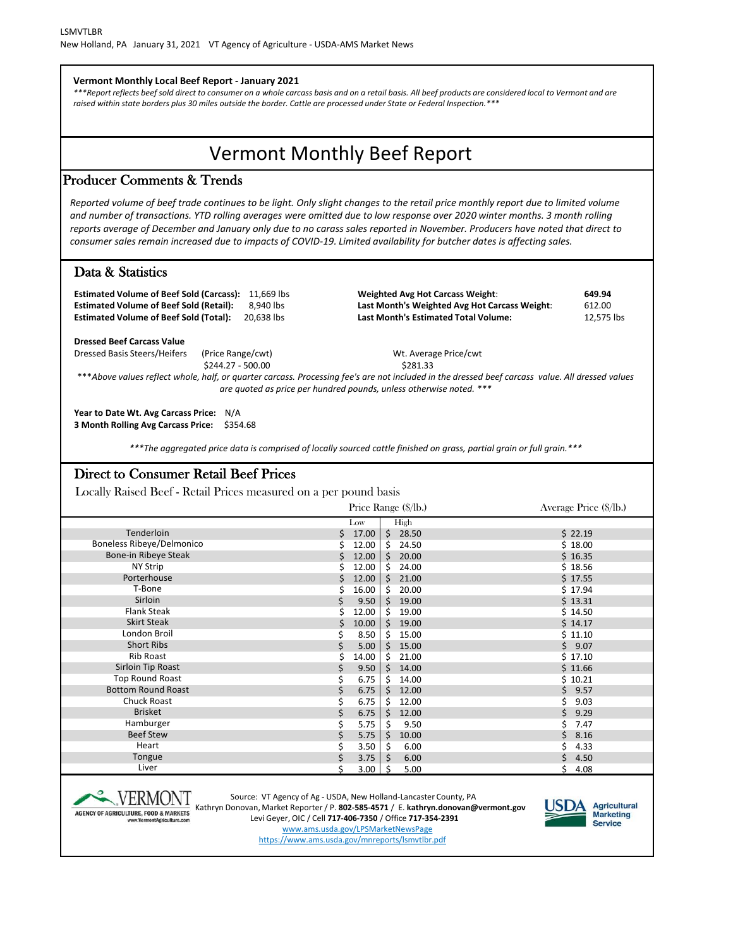Vermont Monthly Beef Report Producer Comments & Trends Data & Statistics **Vermont Monthly Local Beef Report - January 2021** *\*\*\*Report reflects beef sold direct to consumer on a whole carcass basis and on a retail basis. All beef products are considered local to Vermont and are raised within state borders plus 30 miles outside the border. Cattle are processed under State or Federal Inspection.\*\*\* Reported volume of beef trade continues to be light. Only slight changes to the retail price monthly report due to limited volume and number of transactions. YTD rolling averages were omitted due to low response over 2020 winter months. 3 month rolling reports average of December and January only due to no carass sales reported in November. Producers have noted that direct to consumer sales remain increased due to impacts of COVID-19. Limited availability for butcher dates is affecting sales.*  **Estimated Volume of Beef Sold (Carcass):** 11,669 lbs **Weighted Avg Hot Carcass Weight**: **649.94 Estimated Volume of Beef Sold (Retail):** 8,940 lbs **Last Month's Weighted Avg Hot Carcass Weight**: 612.00 **Estimated Volume of Beef Sold (Total):** 20,638 lbs **Last Month's Estimated Total Volume:** 12,575 lbs **Dressed Beef Carcass Value** Dressed Basis Steers/Heifers (Price Range/cwt) Mt. Average Price/cwt \$244.27 - 500.00 \$281.33 \*\*\**Above values reflect whole, half, or quarter carcass. Processing fee's are not included in the dressed beef carcass value. All dressed values are quoted as price per hundred pounds, unless otherwise noted. \*\*\**  **Year to Date Wt. Avg Carcass Price:** N/A **3 Month Rolling Avg Carcass Price:** \$354.68 *\*\*\*The aggregated price data is comprised of locally sourced cattle finished on grass, partial grain or full grain.\*\*\**

## Direct to Consumer Retail Beef Prices

Locally Raised Beef - Retail Prices measured on a per pound basis

|                                  | Price Range (\$/lb.)                        | Average Price (\$/lb.) |
|----------------------------------|---------------------------------------------|------------------------|
|                                  | High<br>Low                                 |                        |
| Tenderloin                       | $\ddot{\mathsf{S}}$<br>28.50<br>\$<br>17.00 | \$22.19                |
| <b>Boneless Ribeye/Delmonico</b> | \$<br>12.00<br>24.50                        | \$18.00                |
| Bone-in Ribeye Steak             | $\zeta$<br>12.00<br>20.00<br>Ś              | \$16.35                |
| <b>NY Strip</b>                  | \$<br>12.00<br>24.00                        | \$18.56                |
| Porterhouse                      | $\zeta$<br>12.00<br>21.00                   | \$17.55                |
| T-Bone                           | \$<br>16.00<br>20.00                        | \$17.94                |
| Sirloin                          | 9.50<br>$\zeta$<br>19.00<br>\$              | \$13.31                |
| <b>Flank Steak</b>               | 12.00<br>\$<br>19.00                        | \$14.50                |
| <b>Skirt Steak</b>               | \$<br>10.00<br>$\zeta$<br>19.00             | \$14.17                |
| London Broil                     | 8.50<br>\$<br>15.00<br>\$                   | \$11.10                |
| <b>Short Ribs</b>                | \$<br>$\mathsf{\dot{S}}$<br>5.00<br>15.00   | \$9.07                 |
| Rib Roast                        | \$<br>14.00<br>21.00<br>\$.                 | \$17.10                |
| Sirloin Tip Roast                | $\zeta$<br>\$<br>9.50<br>14.00              | \$11.66                |
| Top Round Roast                  | \$<br>6.75<br>\$.<br>14.00                  | \$10.21                |
| <b>Bottom Round Roast</b>        | \$<br>6.75<br>$\zeta$<br>12.00              | \$9.57                 |
| <b>Chuck Roast</b>               | 6.75<br>\$<br>12.00<br>\$                   | 9.03                   |
| <b>Brisket</b>                   | \$<br>6.75<br>\$<br>12.00                   | Ś.<br>9.29             |
| Hamburger                        | 5.75<br>9.50<br>\$                          | 7.47                   |
| <b>Beef Stew</b>                 | 5.75<br>\$<br>10.00                         | 8.16<br>Ś.             |
| Heart                            | 3.50<br>6.00<br>-\$                         | 4.33                   |
| Tongue                           | 3.75<br>6.00<br><sub>S</sub>                | Ś.<br>4.50             |
| Liver                            | 5.00<br>3.00                                | 4.08                   |



Source: VT Agency of Ag - USDA, New Holland-Lancaster County, PA

Kathryn Donovan, Market Reporter / P. **802-585-4571** / E. **kathryn.donovan@vermont.gov** Levi Geyer, OIC / Cell **717-406-7350** / Office **717-354-2391**

www.ams.usda.gov/LPSMarketNewsPage

https://www.ams.usda.gov/mnreports/lsmvtlbr.pdf

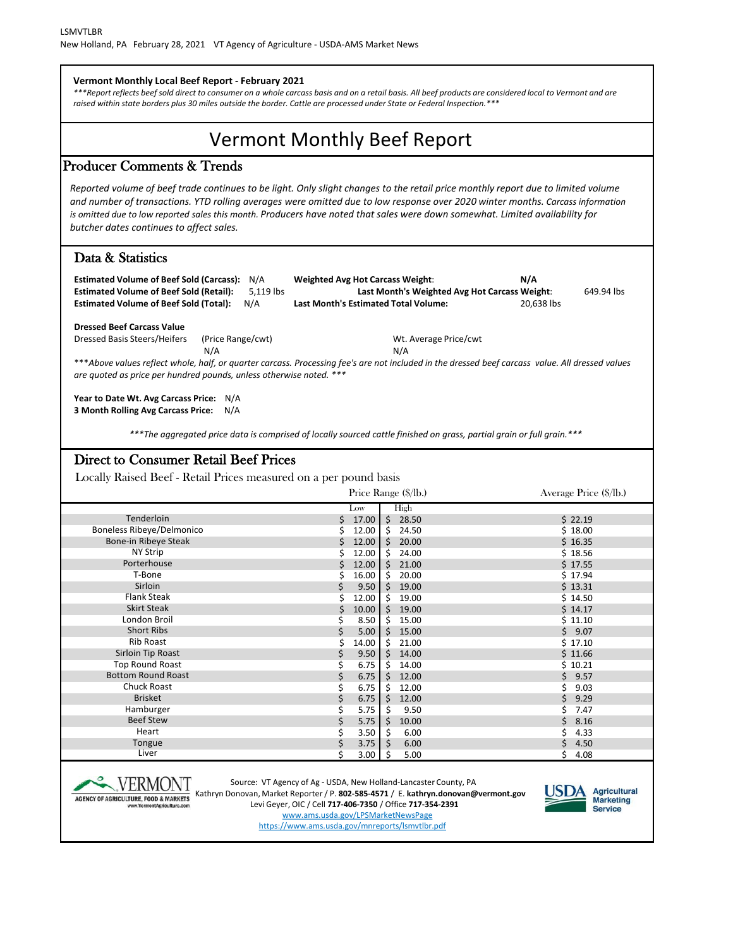Low High Producer Comments & Trends Data & Statistics Direct to Consumer Retail Beef Prices Locally Raised Beef - Retail Prices measured on a per pound basis Price Range (\$/lb.) Average Price (\$/lb.) Vermont Monthly Beef Report **Vermont Monthly Local Beef Report - February 2021** *\*\*\*Report reflects beef sold direct to consumer on a whole carcass basis and on a retail basis. All beef products are considered local to Vermont and are raised within state borders plus 30 miles outside the border. Cattle are processed under State or Federal Inspection.\*\*\* Reported volume of beef trade continues to be light. Only slight changes to the retail price monthly report due to limited volume and number of transactions. YTD rolling averages were omitted due to low response over 2020 winter months. Carcass information is omitted due to low reported sales this month. Producers have noted that sales were down somewhat. Limited availability for butcher dates continues to affect sales.*  **Estimated Volume of Beef Sold (Carcass):** N/A **Weighted Avg Hot Carcass Weight**: **N/A Estimated Volume of Beef Sold (Retail):** 5,119 lbs **Last Month's Weighted Avg Hot Carcass Weight**: 649.94 lbs **Estimated Volume of Beef Sold (Total):** N/A **Last Month's Estimated Total Volume:** 20,638 lbs **Dressed Beef Carcass Value** Dressed Basis Steers/Heifers (Price Range/cwt) Mt. Average Price/cwt N/A N/A \*\*\**Above values reflect whole, half, or quarter carcass. Processing fee's are not included in the dressed beef carcass value. All dressed values are quoted as price per hundred pounds, unless otherwise noted. \*\*\**  **Year to Date Wt. Avg Carcass Price:** N/A **3 Month Rolling Avg Carcass Price:** N/A *\*\*\*The aggregated price data is comprised of locally sourced cattle finished on grass, partial grain or full grain.\*\*\**

|                                  |    | Low   |         | High    |            |
|----------------------------------|----|-------|---------|---------|------------|
| Tenderloin                       | Ś  | 17.00 | $\zeta$ | 28.50   | \$22.19    |
| <b>Boneless Ribeye/Delmonico</b> |    | 12.00 | \$      | 24.50   | \$18.00    |
| Bone-in Ribeye Steak             | \$ | 12.00 | $\zeta$ | 20.00   | \$16.35    |
| <b>NY Strip</b>                  | Ś  | 12.00 | $\zeta$ | 24.00   | \$18.56    |
| Porterhouse                      | Ś  | 12.00 | $\zeta$ | 21.00   | \$17.55    |
| T-Bone                           |    | 16.00 | $\zeta$ | 20.00   | \$17.94    |
| Sirloin                          | \$ | 9.50  | $\zeta$ | 19.00   | \$13.31    |
| <b>Flank Steak</b>               |    | 12.00 | \$      | 19.00   | \$14.50    |
| <b>Skirt Steak</b>               | Ś  | 10.00 |         | \$19.00 | \$14.17    |
| London Broil                     | \$ | 8.50  | \$      | 15.00   | \$11.10    |
| <b>Short Ribs</b>                | \$ | 5.00  | $\zeta$ | 15.00   | \$9.07     |
| <b>Rib Roast</b>                 | \$ | 14.00 | $\zeta$ | 21.00   | \$17.10    |
| Sirloin Tip Roast                | \$ | 9.50  | $\zeta$ | 14.00   | \$11.66    |
| <b>Top Round Roast</b>           | \$ | 6.75  | \$      | 14.00   | \$10.21    |
| <b>Bottom Round Roast</b>        | \$ | 6.75  | \$      | 12.00   | \$<br>9.57 |
| <b>Chuck Roast</b>               |    | 6.75  | \$      | 12.00   | 9.03       |
| <b>Brisket</b>                   | \$ | 6.75  | \$      | 12.00   | 9.29<br>Ś. |
| Hamburger                        | \$ | 5.75  | \$      | 9.50    | 7.47       |
| <b>Beef Stew</b>                 | \$ | 5.75  | \$      | 10.00   | Ś.<br>8.16 |
| Heart                            |    | 3.50  | $\zeta$ | 6.00    | 4.33       |
| Tongue                           | \$ | 3.75  | \$      | 6.00    | \$<br>4.50 |
| Liver                            |    | 3.00  | -S      | 5.00    | 4.08       |
|                                  |    |       |         |         |            |



Source: VT Agency of Ag - USDA, New Holland-Lancaster County, PA Kathryn Donovan, Market Reporter / P. **802-585-4571** / E. **kathryn.donovan@vermont.gov** Levi Geyer, OIC / Cell **717-406-7350** / Office **717-354-2391**



www.ams.usda.gov/LPSMarketNewsPage

https://www.ams.usda.gov/mnreports/lsmvtlbr.pdf